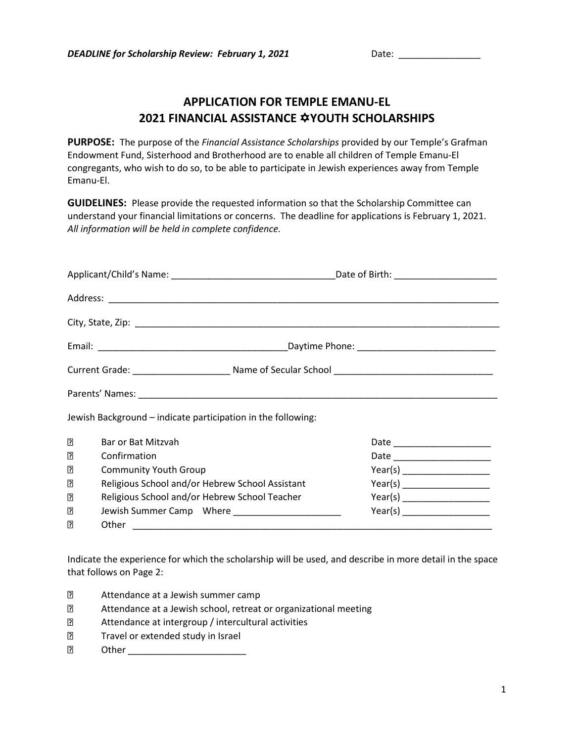## **APPLICATION FOR TEMPLE EMANU-EL 2021 FINANCIAL ASSISTANCE YOUTH SCHOLARSHIPS**

**PURPOSE:** The purpose of the *Financial Assistance Scholarships* provided by our Temple's Grafman Endowment Fund, Sisterhood and Brotherhood are to enable all children of Temple Emanu-El congregants, who wish to do so, to be able to participate in Jewish experiences away from Temple Emanu-El.

**GUIDELINES:** Please provide the requested information so that the Scholarship Committee can understand your financial limitations or concerns. The deadline for applications is February 1, 2021. *All information will be held in complete confidence.*

|   | Jewish Background - indicate participation in the following: |  |  |  |
|---|--------------------------------------------------------------|--|--|--|
| ⊡ | Bar or Bat Mitzvah                                           |  |  |  |
| R | Confirmation                                                 |  |  |  |
| n | <b>Community Youth Group</b>                                 |  |  |  |
| n | Religious School and/or Hebrew School Assistant              |  |  |  |
| n | Religious School and/or Hebrew School Teacher                |  |  |  |
| ⊡ |                                                              |  |  |  |
| 卪 |                                                              |  |  |  |

Indicate the experience for which the scholarship will be used, and describe in more detail in the space that follows on Page 2:

- $\overline{2}$ Attendance at a Jewish summer camp
- $\overline{2}$ Attendance at a Jewish school, retreat or organizational meeting
- $\Box$ Attendance at intergroup / intercultural activities
- $\Box$ Travel or extended study in Israel
- $\overline{2}$ Other  $\Box$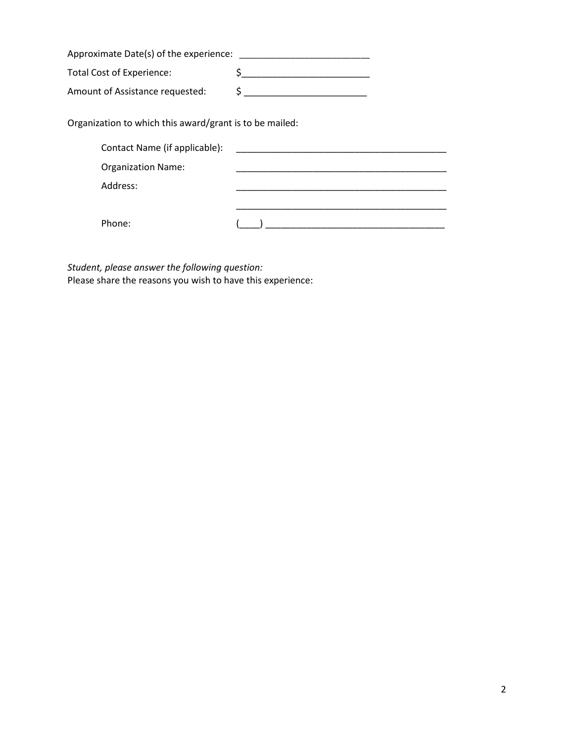| Approximate Date(s) of the experience: |  |  |  |  |
|----------------------------------------|--|--|--|--|
| Total Cost of Experience:              |  |  |  |  |
| Amount of Assistance requested:        |  |  |  |  |

Organization to which this award/grant is to be mailed:

| Contact Name (if applicable): |  |
|-------------------------------|--|
| <b>Organization Name:</b>     |  |
| Address:                      |  |
|                               |  |
| Phone:                        |  |

*Student, please answer the following question:*  Please share the reasons you wish to have this experience: